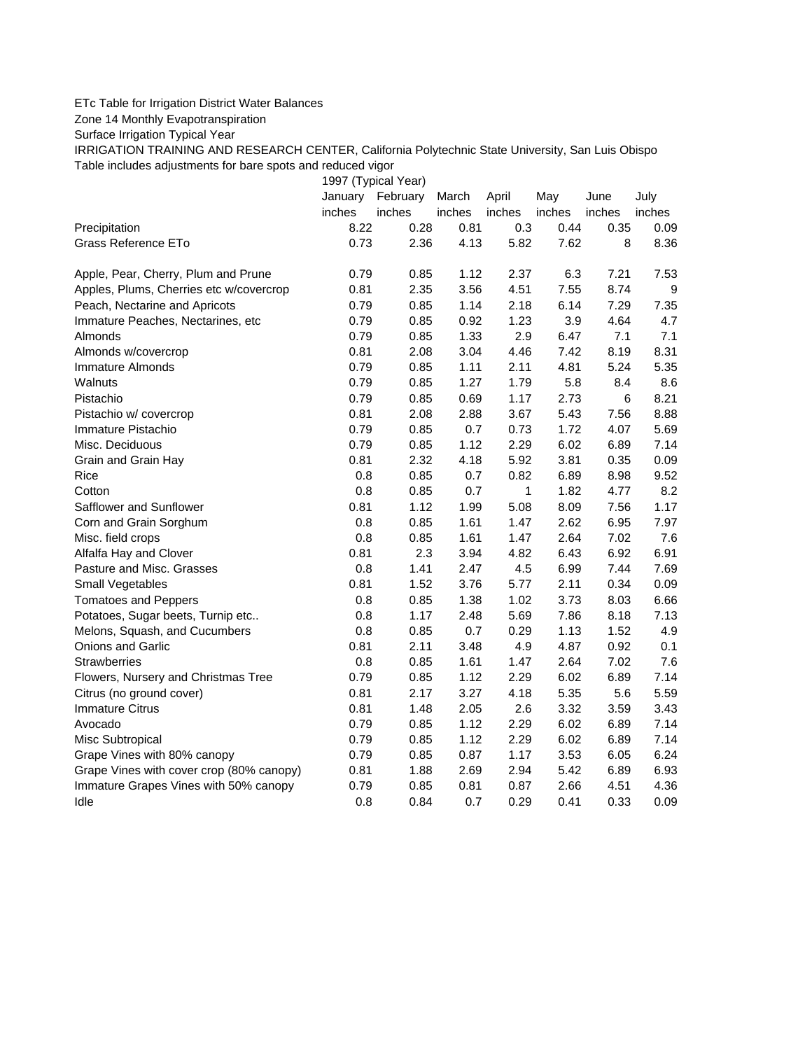## ETc Table for Irrigation District Water Balances

Zone 14 Monthly Evapotranspiration

Surface Irrigation Typical Year

IRRIGATION TRAINING AND RESEARCH CENTER, California Polytechnic State University, San Luis Obispo Table includes adjustments for bare spots and reduced vigor

1997 (Typical Year) January February March April May June July inches inches inches inches inches inches inches Precipitation 8.22 0.28 0.81 0.3 0.44 0.35 0.09 Grass Reference ETo **0.73** 2.36 4.13 5.82 7.62 8 8.36 Apple, Pear, Cherry, Plum and Prune 0.79 0.85 1.12 2.37 6.3 7.21 7.53 Apples, Plums, Cherries etc w/covercrop  $0.81$  2.35 3.56 4.51 7.55 8.74 9 Peach, Nectarine and Apricots 0.79 0.85 1.14 2.18 6.14 7.29 7.35 Immature Peaches, Nectarines, etc 0.79 0.85 0.92 1.23 3.9 4.64 4.7 Almonds 0.79 0.85 1.33 2.9 6.47 7.1 7.1 Almonds w/covercrop 0.81 2.08 3.04 4.46 7.42 8.19 8.31 Immature Almonds 0.79 0.85 1.11 2.11 4.81 5.24 5.35 Walnuts 0.79 0.85 1.27 1.79 5.8 8.4 8.6 Pistachio 0.79 0.85 0.69 1.17 2.73 6 8.21 Pistachio w/ covercrop 0.81 2.08 2.88 3.67 5.43 7.56 8.88 Immature Pistachio 0.79 0.85 0.7 0.73 1.72 4.07 5.69 Misc. Deciduous 0.79 0.85 1.12 2.29 6.02 6.89 7.14 Grain and Grain Hay  $0.81$   $2.32$   $4.18$   $5.92$   $3.81$   $0.35$   $0.09$ Rice 0.8 0.85 0.7 0.82 6.89 8.98 9.52 Cotton 0.8 0.85 0.7 1 1.82 4.77 8.2 Safflower and Sunflower 0.81 1.12 1.99 5.08 8.09 7.56 1.17 Corn and Grain Sorghum 0.8 0.85 1.61 1.47 2.62 6.95 7.97 Misc. field crops 0.8 0.85 1.61 1.47 2.64 7.02 7.6 Alfalfa Hay and Clover 0.81 2.3 3.94 4.82 6.43 6.92 6.91 Pasture and Misc. Grasses 0.8 1.41 2.47 4.5 6.99 7.44 7.69 Small Vegetables 0.81 1.52 3.76 5.77 2.11 0.34 0.09 Tomatoes and Peppers 0.8 0.85 1.38 1.02 3.73 8.03 6.66 Potatoes, Sugar beets, Turnip etc..  $\begin{array}{cccc} 0.8 & 1.17 & 2.48 & 5.69 & 7.86 & 8.18 & 7.13 \end{array}$ Melons, Squash, and Cucumbers 0.8 0.85 0.7 0.29 1.13 1.52 4.9 Onions and Garlic 0.81 2.11 3.48 4.9 4.87 0.92 0.1 Strawberries 0.8 0.85 1.61 1.47 2.64 7.02 7.6 Flowers, Nursery and Christmas Tree 0.79 0.85 1.12 2.29 6.02 6.89 7.14 Citrus (no ground cover) 0.81 2.17 3.27 4.18 5.35 5.6 5.59 Immature Citrus 0.81 1.48 2.05 2.6 3.32 3.59 3.43 Avocado 0.79 0.85 1.12 2.29 6.02 6.89 7.14 Misc Subtropical 0.79 0.85 1.12 2.29 6.02 6.89 7.14 Grape Vines with 80% canopy  $0.79$  0.85 0.87 1.17 3.53 6.05 6.24 Grape Vines with cover crop (80% canopy)  $0.81$  1.88  $2.69$  2.94  $5.42$  6.89 6.93 Immature Grapes Vines with 50% canopy 0.79 0.85 0.81 0.87 2.66 4.51 4.36 Idle 0.8 0.84 0.7 0.29 0.41 0.33 0.09